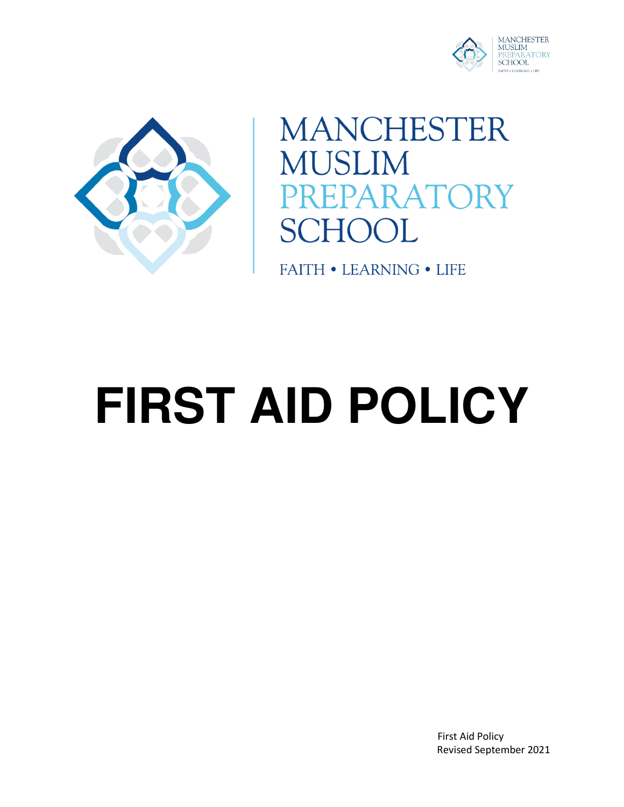



**MANCHESTER MUSLIM** PARATORY **SCHOOL** 

**FAITH • LEARNING • LIFE** 

# **FIRST AID POLICY**

 First Aid Policy Revised September 2021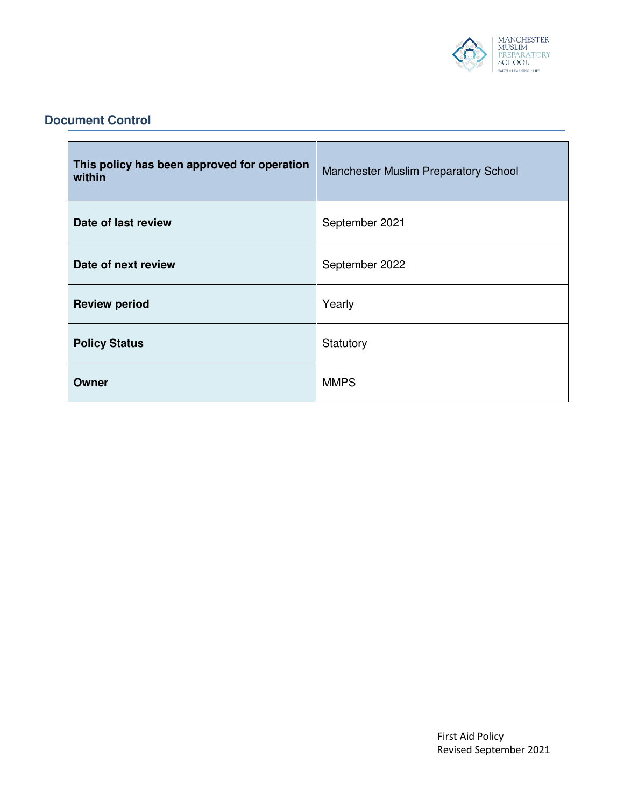

#### **Document Control**

| This policy has been approved for operation<br>within | Manchester Muslim Preparatory School |
|-------------------------------------------------------|--------------------------------------|
| Date of last review                                   | September 2021                       |
| Date of next review                                   | September 2022                       |
| <b>Review period</b>                                  | Yearly                               |
| <b>Policy Status</b>                                  | Statutory                            |
| Owner                                                 | <b>MMPS</b>                          |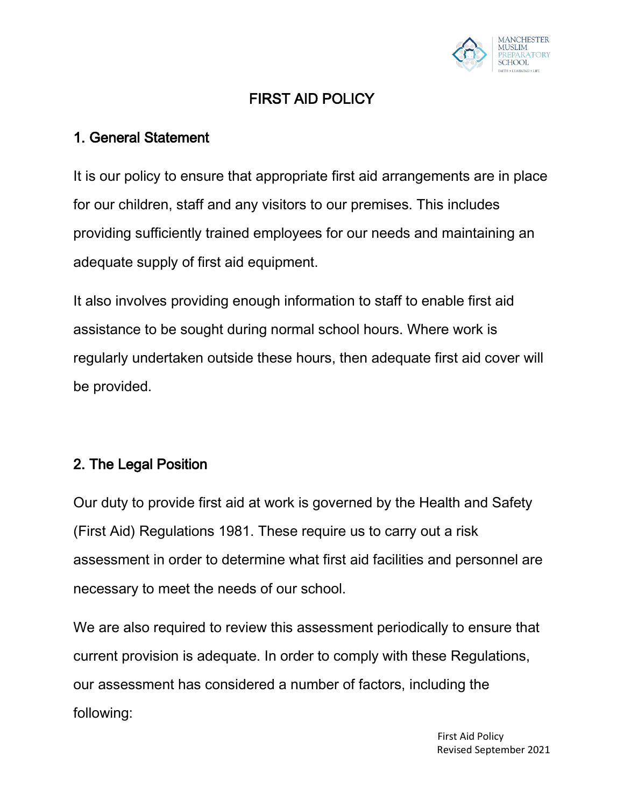

# FIRST AID POLICY

### 1. General Statement

It is our policy to ensure that appropriate first aid arrangements are in place for our children, staff and any visitors to our premises. This includes providing sufficiently trained employees for our needs and maintaining an adequate supply of first aid equipment.

It also involves providing enough information to staff to enable first aid assistance to be sought during normal school hours. Where work is regularly undertaken outside these hours, then adequate first aid cover will be provided.

### 2. The Legal Position

Our duty to provide first aid at work is governed by the Health and Safety (First Aid) Regulations 1981. These require us to carry out a risk assessment in order to determine what first aid facilities and personnel are necessary to meet the needs of our school.

We are also required to review this assessment periodically to ensure that current provision is adequate. In order to comply with these Regulations, our assessment has considered a number of factors, including the following: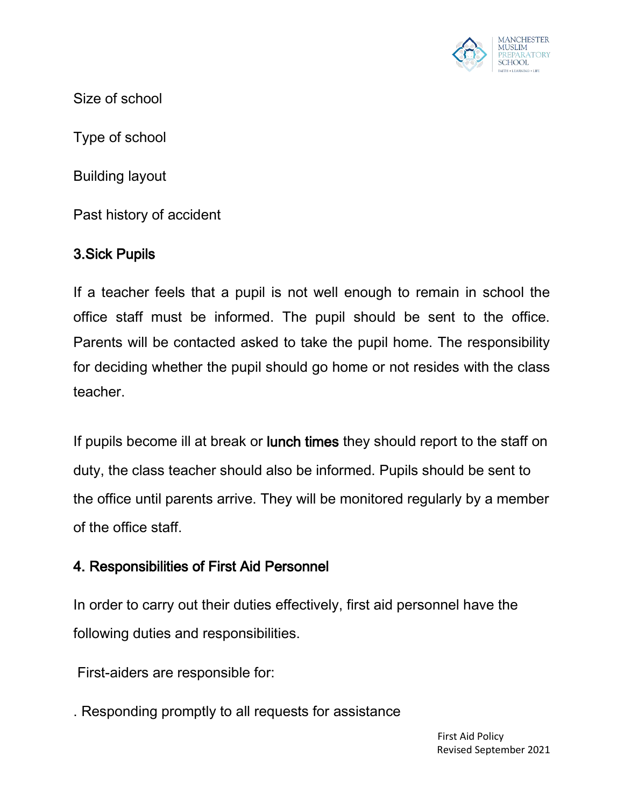

Size of school

Type of school

Building layout

Past history of accident

## 3.Sick Pupils

If a teacher feels that a pupil is not well enough to remain in school the office staff must be informed. The pupil should be sent to the office. Parents will be contacted asked to take the pupil home. The responsibility for deciding whether the pupil should go home or not resides with the class teacher.

If pupils become ill at break or lunch times they should report to the staff on duty, the class teacher should also be informed. Pupils should be sent to the office until parents arrive. They will be monitored regularly by a member of the office staff.

## 4. Responsibilities of First Aid Personnel

In order to carry out their duties effectively, first aid personnel have the following duties and responsibilities.

First-aiders are responsible for:

. Responding promptly to all requests for assistance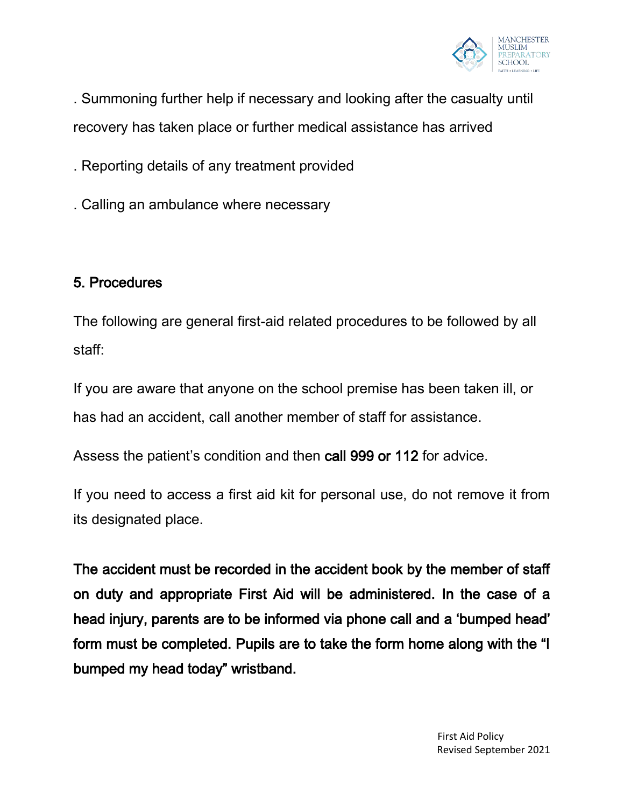

. Summoning further help if necessary and looking after the casualty until recovery has taken place or further medical assistance has arrived

. Reporting details of any treatment provided

. Calling an ambulance where necessary

## 5. Procedures

The following are general first-aid related procedures to be followed by all staff:

If you are aware that anyone on the school premise has been taken ill, or has had an accident, call another member of staff for assistance.

Assess the patient's condition and then call 999 or 112 for advice.

If you need to access a first aid kit for personal use, do not remove it from its designated place.

The accident must be recorded in the accident book by the member of staff on duty and appropriate First Aid will be administered. In the case of a head injury, parents are to be informed via phone call and a 'bumped head' form must be completed. Pupils are to take the form home along with the "I bumped my head today" wristband.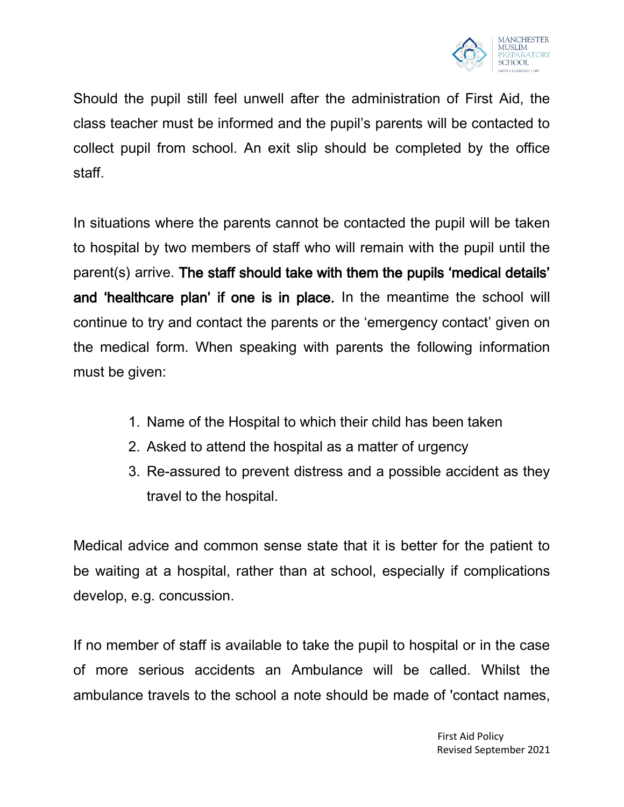

Should the pupil still feel unwell after the administration of First Aid, the class teacher must be informed and the pupil's parents will be contacted to collect pupil from school. An exit slip should be completed by the office staff.

In situations where the parents cannot be contacted the pupil will be taken to hospital by two members of staff who will remain with the pupil until the parent(s) arrive. The staff should take with them the pupils 'medical details' and 'healthcare plan' if one is in place. In the meantime the school will continue to try and contact the parents or the 'emergency contact' given on the medical form. When speaking with parents the following information must be given:

- 1. Name of the Hospital to which their child has been taken
- 2. Asked to attend the hospital as a matter of urgency
- 3. Re-assured to prevent distress and a possible accident as they travel to the hospital.

Medical advice and common sense state that it is better for the patient to be waiting at a hospital, rather than at school, especially if complications develop, e.g. concussion.

If no member of staff is available to take the pupil to hospital or in the case of more serious accidents an Ambulance will be called. Whilst the ambulance travels to the school a note should be made of 'contact names,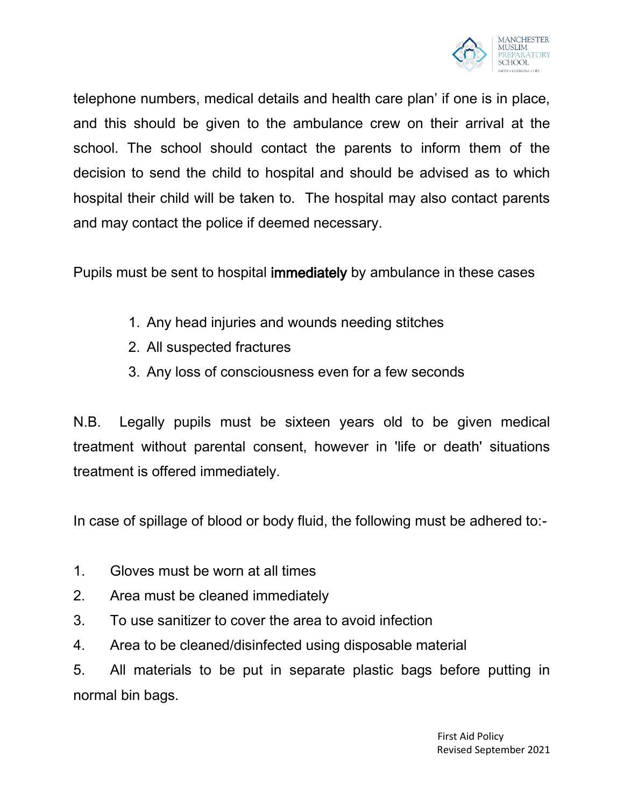

telephone numbers, medical details and health care plan' if one is in place, and this should be given to the ambulance crew on their arrival at the school. The school should contact the parents to inform them of the decision to send the child to hospital and should be advised as to which hospital their child will be taken to. The hospital may also contact parents and may contact the police if deemed necessary.

Pupils must be sent to hospital immediately by ambulance in these cases

- 1. Any head injuries and wounds needing stitches
- 2. All suspected fractures
- 3. Any loss of consciousness even for a few seconds

N.B. Legally pupils must be sixteen years old to be given medical treatment without parental consent, however in 'life or death' situations treatment is offered immediately.

In case of spillage of blood or body fluid, the following must be adhered to:-

- 1. Gloves must be worn at all times
- 2. Area must be cleaned immediately
- 3. To use sanitizer to cover the area to avoid infection
- 4. Area to be cleaned/disinfected using disposable material

5. All materials to be put in separate plastic bags before putting in normal bin bags.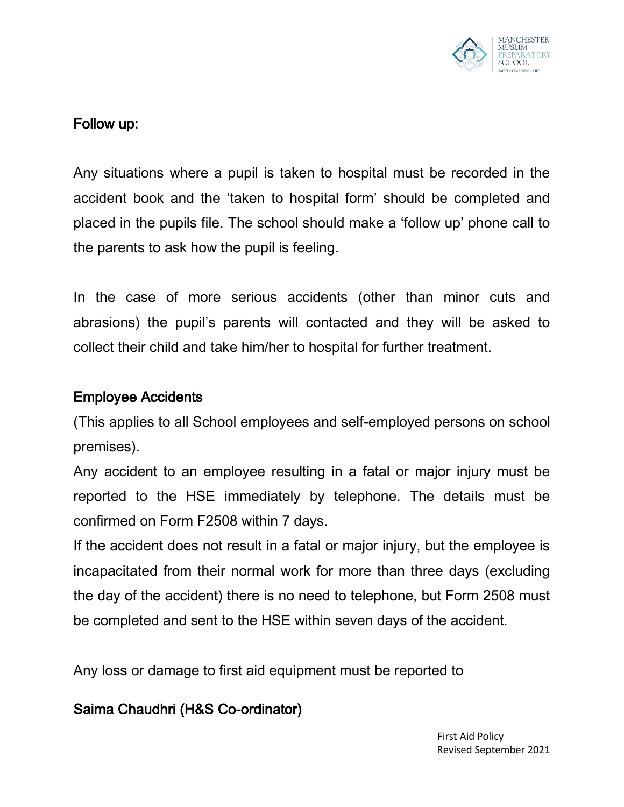

### Follow up:

Any situations where a pupil is taken to hospital must be recorded in the accident book and the 'taken to hospital form' should be completed and placed in the pupils file. The school should make a 'follow up' phone call to the parents to ask how the pupil is feeling.

In the case of more serious accidents (other than minor cuts and abrasions) the pupil's parents will contacted and they will be asked to collect their child and take him/her to hospital for further treatment.

#### Employee Accidents

(This applies to all School employees and self-employed persons on school premises).

Any accident to an employee resulting in a fatal or major injury must be reported to the HSE immediately by telephone. The details must be confirmed on Form F2508 within 7 days.

If the accident does not result in a fatal or major injury, but the employee is incapacitated from their normal work for more than three days (excluding the day of the accident) there is no need to telephone, but Form 2508 must be completed and sent to the HSE within seven days of the accident.

Any loss or damage to first aid equipment must be reported to

## Saima Chaudhri (H&S Co-ordinator)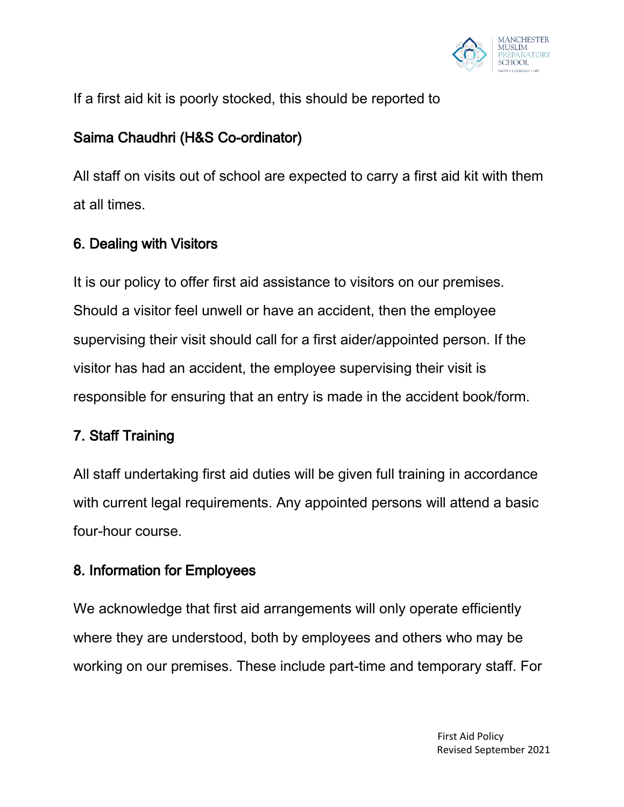

If a first aid kit is poorly stocked, this should be reported to

## Saima Chaudhri (H&S Co-ordinator)

All staff on visits out of school are expected to carry a first aid kit with them at all times.

## 6. Dealing with Visitors

It is our policy to offer first aid assistance to visitors on our premises. Should a visitor feel unwell or have an accident, then the employee supervising their visit should call for a first aider/appointed person. If the visitor has had an accident, the employee supervising their visit is responsible for ensuring that an entry is made in the accident book/form.

# 7. Staff Training

All staff undertaking first aid duties will be given full training in accordance with current legal requirements. Any appointed persons will attend a basic four-hour course.

## 8. Information for Employees

We acknowledge that first aid arrangements will only operate efficiently where they are understood, both by employees and others who may be working on our premises. These include part-time and temporary staff. For